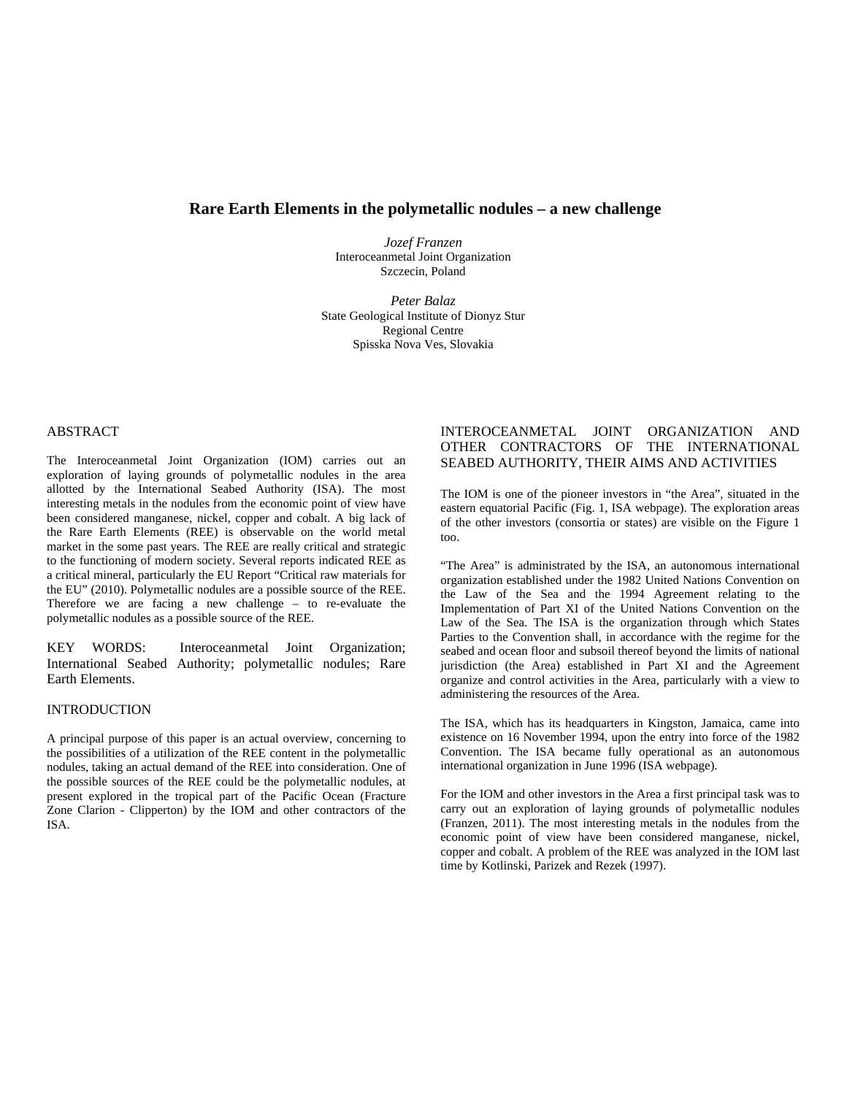# **Rare Earth Elements in the polymetallic nodules – a new challenge**

*Jozef Franzen* Interoceanmetal Joint Organization Szczecin, Poland

*Peter Balaz* State Geological Institute of Dionyz Stur Regional Centre Spisska Nova Ves, Slovakia

### ABSTRACT

The Interoceanmetal Joint Organization (IOM) carries out an exploration of laying grounds of polymetallic nodules in the area allotted by the International Seabed Authority (ISA). The most interesting metals in the nodules from the economic point of view have been considered manganese, nickel, copper and cobalt. A big lack of the Rare Earth Elements (REE) is observable on the world metal market in the some past years. The REE are really critical and strategic to the functioning of modern society. Several reports indicated REE as a critical mineral, particularly the EU Report "Critical raw materials for the EU" (2010). Polymetallic nodules are a possible source of the REE. Therefore we are facing a new challenge – to re-evaluate the polymetallic nodules as a possible source of the REE.

KEY WORDS: Interoceanmetal Joint Organization; International Seabed Authority; polymetallic nodules; Rare Earth Elements.

### INTRODUCTION

A principal purpose of this paper is an actual overview, concerning to the possibilities of a utilization of the REE content in the polymetallic nodules, taking an actual demand of the REE into consideration. One of the possible sources of the REE could be the polymetallic nodules, at present explored in the tropical part of the Pacific Ocean (Fracture Zone Clarion - Clipperton) by the IOM and other contractors of the ISA.

# INTEROCEANMETAL JOINT ORGANIZATION AND OTHER CONTRACTORS OF THE INTERNATIONAL SEABED AUTHORITY, THEIR AIMS AND ACTIVITIES

The IOM is one of the pioneer investors in "the Area", situated in the eastern equatorial Pacific (Fig. 1, ISA webpage). The exploration areas of the other investors (consortia or states) are visible on the Figure 1 too.

"The Area" is administrated by the ISA, an autonomous international organization established under the 1982 United Nations Convention on the Law of the Sea and the 1994 Agreement relating to the Implementation of Part XI of the United Nations Convention on the Law of the Sea. The ISA is the organization through which States Parties to the Convention shall, in accordance with the regime for the seabed and ocean floor and subsoil thereof beyond the limits of national jurisdiction (the Area) established in Part XI and the Agreement organize and control activities in the Area, particularly with a view to administering the resources of the Area.

The ISA, which has its headquarters in Kingston, Jamaica, came into existence on 16 November 1994, upon the entry into force of the 1982 Convention. The ISA became fully operational as an autonomous international organization in June 1996 (ISA webpage).

For the IOM and other investors in the Area a first principal task was to carry out an exploration of laying grounds of polymetallic nodules (Franzen, 2011). The most interesting metals in the nodules from the economic point of view have been considered manganese, nickel, copper and cobalt. A problem of the REE was analyzed in the IOM last time by Kotlinski, Parizek and Rezek (1997).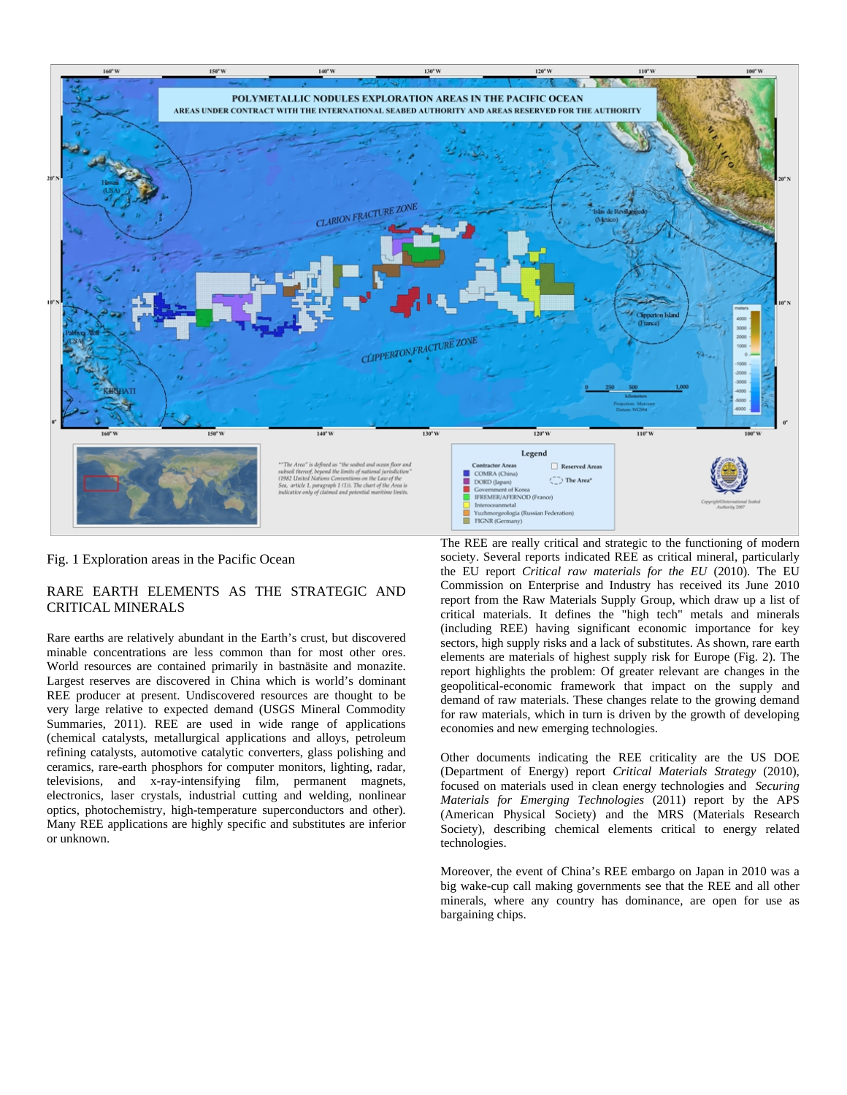

### Fig. 1 Exploration areas in the Pacific Ocean

## RARE EARTH ELEMENTS AS THE STRATEGIC AND CRITICAL MINERALS

Rare earths are relatively abundant in the Earth's crust, but discovered minable concentrations are less common than for most other ores. World resources are contained primarily in bastnäsite and monazite. Largest reserves are discovered in China which is world's dominant REE producer at present. Undiscovered resources are thought to be very large relative to expected demand (USGS Mineral Commodity Summaries, 2011). REE are used in wide range of applications (chemical catalysts, metallurgical applications and alloys, petroleum refining catalysts, automotive catalytic converters, glass polishing and ceramics, rare-earth phosphors for computer monitors, lighting, radar, televisions, and x-ray-intensifying film, permanent magnets, electronics, laser crystals, industrial cutting and welding, nonlinear optics, photochemistry, high-temperature superconductors and other). Many REE applications are highly specific and substitutes are inferior or unknown.

The REE are really critical and strategic to the functioning of modern society. Several reports indicated REE as critical mineral, particularly the EU report *Critical raw materials for the EU* (2010). The EU Commission on Enterprise and Industry has received its June 2010 report from the Raw Materials Supply Group, which draw up a list of critical materials. It defines the "high tech" metals and minerals (including REE) having significant economic importance for key sectors, high supply risks and a lack of substitutes. As shown, rare earth elements are materials of highest supply risk for Europe (Fig. 2). The report highlights the problem: Of greater relevant are changes in the geopolitical-economic framework that impact on the supply and demand of raw materials. These changes relate to the growing demand for raw materials, which in turn is driven by the growth of developing conomies and new emerging technologies. e

Society), describing chemical elements critical to energy related technologies. Other documents indicating the REE criticality are the US DOE (Department of Energy) report *[Critical Materials Strategy](http://www.energy.gov/news/documents/criticalmaterialsstrategy.pdf)* (2010), focused on materials used in clean energy technologies and *Securing Materials for Emerging Technologies* (2011) report by the APS (American Physical Society) and the MRS (Materials Research

minerals, where any country has dominance, are open for use as bargaining chips. Moreover, the event of China's REE embargo on Japan in 2010 was a big wake-cup call making governments see that the REE and all other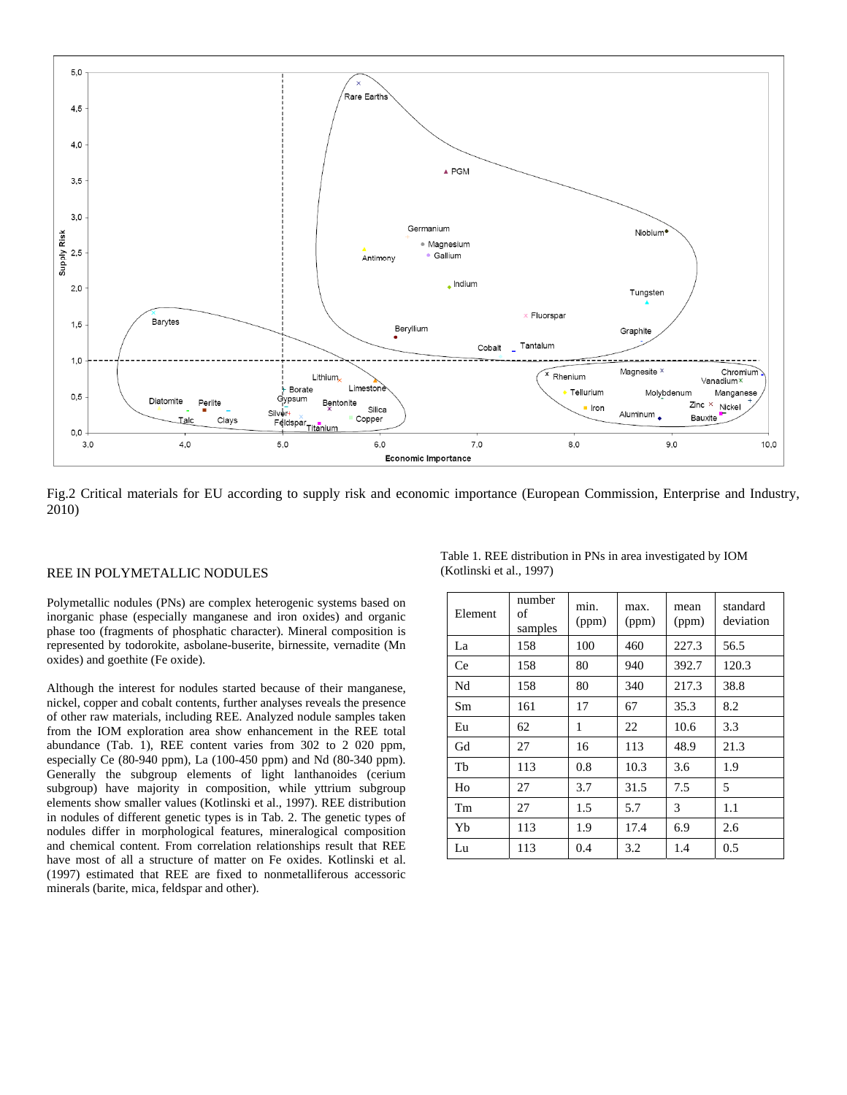

Fig.2 Critical materials for EU according to supply risk and economic importance (European Commission, Enterprise and Industry, 2010)

#### REE IN POLYMETALLIC NODULES

Polymetallic nodules (PNs) are complex heterogenic systems based on inorganic phase (especially manganese and iron oxides) and organic phase too (fragments of phosphatic character). Mineral composition is represented by todorokite, asbolane-buserite, birnessite, vernadite (Mn oxides) and goethite (Fe oxide).

Although the interest for nodules started because of their manganese, nickel, copper and cobalt contents, further analyses reveals the presence of other raw materials, including REE. Analyzed nodule samples taken from the IOM exploration area show enhancement in the REE total abundance (Tab. 1), REE content varies from 302 to 2 020 ppm, especially Ce (80-940 ppm), La (100-450 ppm) and Nd (80-340 ppm). Generally the subgroup elements of light lanthanoides (cerium subgroup) have majority in composition, while yttrium subgroup elements show smaller values (Kotlinski et al., 1997). REE distribution in nodules of different genetic types is in Tab. 2. The genetic types of nodules differ in morphological features, mineralogical composition and chemical content. From correlation relationships result that REE have most of all a structure of matter on Fe oxides. Kotlinski et al. (1997) estimated that REE are fixed to nonmetalliferous accessoric minerals (barite, mica, feldspar and other).

| Element | number<br>of<br>samples | min.<br>(ppm) | max.<br>(ppm) | mean<br>(ppm) | standard<br>deviation |
|---------|-------------------------|---------------|---------------|---------------|-----------------------|
| La      | 158                     | 100           | 460           | 227.3         | 56.5                  |
| Ce      | 158                     | 80            | 940           | 392.7         | 120.3                 |
| Nd      | 158                     | 80            | 340           | 217.3         | 38.8                  |
| Sm      | 161                     | 17            | 67            | 35.3          | 8.2                   |
| Eu      | 62                      | 1             | 22            | 10.6          | 3.3                   |
| Gd      | 27                      | 16            | 113           | 48.9          | 21.3                  |
| Tb      | 113                     | 0.8           | 10.3          | 3.6           | 1.9                   |
| Ho      | 27                      | 3.7           | 31.5          | 7.5           | 5                     |
| Tm      | 27                      | 1.5           | 5.7           | 3             | $1.1\,$               |
| Yb      | 113                     | 1.9           | 17.4          | 6.9           | 2.6                   |
| Lu      | 113                     | 0.4           | 3.2           | 1.4           | 0.5                   |

Table 1. REE distribution in PNs in area investigated by IOM (Kotlinski et al., 1997)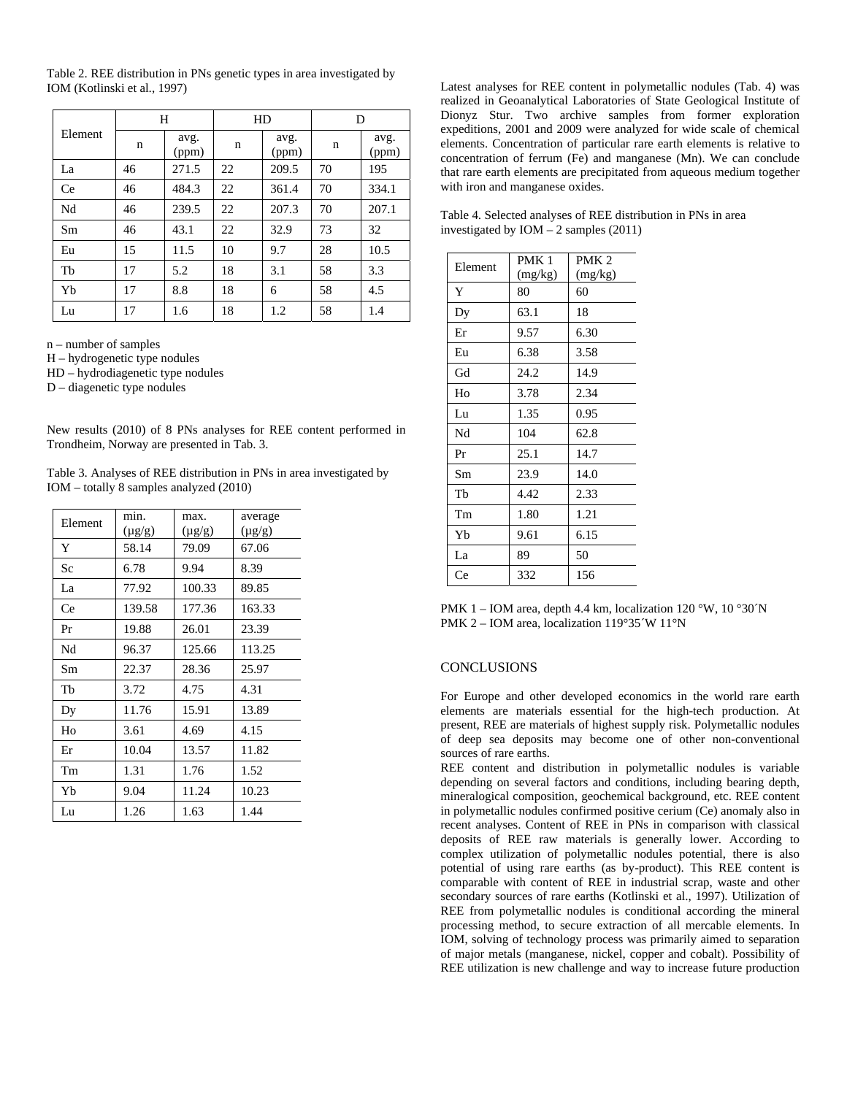Table 2. REE distribution in PNs genetic types in area investigated by IOM (Kotlinski et al., 1997)

| Element | H  |               | HD |               | D  |               |
|---------|----|---------------|----|---------------|----|---------------|
|         | n  | avg.<br>(ppm) | n  | avg.<br>(ppm) | n  | avg.<br>(ppm) |
| La      | 46 | 271.5         | 22 | 209.5         | 70 | 195           |
| Ce      | 46 | 484.3         | 22 | 361.4         | 70 | 334.1         |
| Nd      | 46 | 239.5         | 22 | 207.3         | 70 | 207.1         |
| Sm      | 46 | 43.1          | 22 | 32.9          | 73 | 32            |
| Eu      | 15 | 11.5          | 10 | 9.7           | 28 | 10.5          |
| Th      | 17 | 5.2           | 18 | 3.1           | 58 | 3.3           |
| Yb      | 17 | 8.8           | 18 | 6             | 58 | 4.5           |
| Lu      | 17 | 1.6           | 18 | 1.2           | 58 | 1.4           |

n – number of samples

H – hydrogenetic type nodules

HD – hydrodiagenetic type nodules

D – diagenetic type nodules

New results (2010) of 8 PNs analyses for REE content performed in Trondheim, Norway are presented in Tab. 3.

Table 3. Analyses of REE distribution in PNs in area investigated by IOM – totally 8 samples analyzed (2010)

| Element | min.<br>$(\mu g/g)$ | max.<br>$(\mu g/g)$ | average<br>$(\mu g/g)$ |
|---------|---------------------|---------------------|------------------------|
| Y       | 58.14               | 79.09               | 67.06                  |
| Sc      | 6.78                | 9.94                | 8.39                   |
| La      | 77.92               | 100.33              | 89.85                  |
| Ce      | 139.58              | 177.36              | 163.33                 |
| Pr      | 19.88               | 26.01               | 23.39                  |
| Nd      | 96.37               | 125.66              | 113.25                 |
| Sm      | 22.37               | 28.36               | 25.97                  |
| Tb      | 3.72                | 4.75                | 4.31                   |
| Dy      | 11.76               | 15.91               | 13.89                  |
| Ho      | 3.61                | 4.69                | 4.15                   |
| Er      | 10.04               | 13.57               | 11.82                  |
| Tm      | 1.31                | 1.76                | 1.52                   |
| Yb      | 9.04                | 11.24               | 10.23                  |
| Lu      | 1.26                | 1.63                | 1.44                   |

Latest analyses for REE content in polymetallic nodules (Tab. 4) was realized in Geoanalytical Laboratories of State Geological Institute of Dionyz Stur. Two archive samples from former exploration expeditions, 2001 and 2009 were analyzed for wide scale of chemical elements. Concentration of particular rare earth elements is relative to concentration of ferrum (Fe) and manganese (Mn). We can conclude that rare earth elements are precipitated from aqueous medium together with iron and manganese oxides.

Table 4. Selected analyses of REE distribution in PNs in area investigated by IOM – 2 samples (2011)

| Element | PMK <sub>1</sub> | PMK <sub>2</sub> |
|---------|------------------|------------------|
|         | (mg/kg)          | (mg/kg)          |
| Y       | 80               | 60               |
| Dy      | 63.1             | 18               |
| Er      | 9.57             | 6.30             |
| Eu      | 6.38             | 3.58             |
| Gd      | 24.2             | 14.9             |
| Ho      | 3.78             | 2.34             |
| Lu      | 1.35             | 0.95             |
| Nd      | 104              | 62.8             |
| Pr      | 25.1             | 14.7             |
| Sm      | 23.9             | 14.0             |
| Tb      | 4.42             | 2.33             |
| Tm      | 1.80             | 1.21             |
| Yb      | 9.61             | 6.15             |
| La      | 89               | 50               |
| Ce      | 332              | 156              |

PMK 1 – IOM area, depth 4.4 km, localization 120 °W, 10 °30 °N PMK 2 – IOM area, localization 119°35´W 11°N

#### **CONCLUSIONS**

For Europe and other developed economics in the world rare earth elements are materials essential for the high-tech production. At present, REE are materials of highest supply risk. Polymetallic nodules of deep sea deposits may become one of other non-conventional sources of rare earths.

REE content and distribution in polymetallic nodules is variable depending on several factors and conditions, including bearing depth, mineralogical composition, geochemical background, etc. REE content in polymetallic nodules confirmed positive cerium (Ce) anomaly also in recent analyses. Content of REE in PNs in comparison with classical deposits of REE raw materials is generally lower. According to complex utilization of polymetallic nodules potential, there is also potential of using rare earths (as by-product). This REE content is comparable with content of REE in industrial scrap, waste and other secondary sources of rare earths (Kotlinski et al., 1997). Utilization of REE from polymetallic nodules is conditional according the mineral processing method, to secure extraction of all mercable elements. In IOM, solving of technology process was primarily aimed to separation of major metals (manganese, nickel, copper and cobalt). Possibility of REE utilization is new challenge and way to increase future production